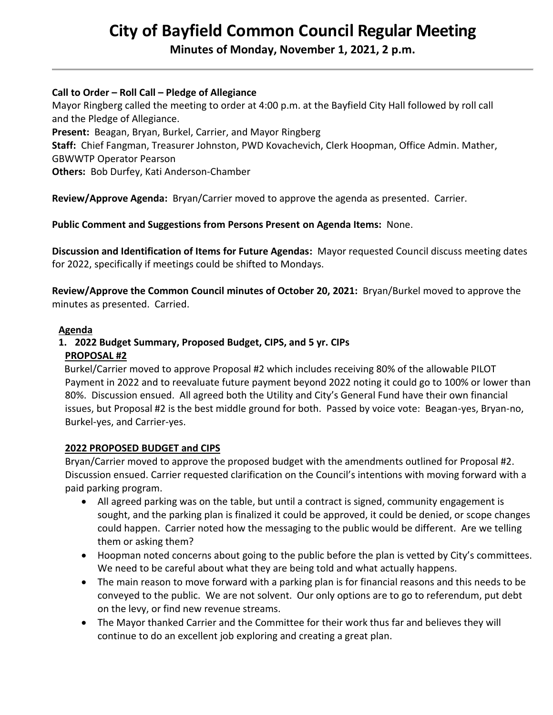# **City of Bayfield Common Council Regular Meeting**

**Minutes of Monday, November 1, 2021, 2 p.m.** 

# **Call to Order – Roll Call – Pledge of Allegiance**

Mayor Ringberg called the meeting to order at 4:00 p.m. at the Bayfield City Hall followed by roll call and the Pledge of Allegiance.

**Present:** Beagan, Bryan, Burkel, Carrier, and Mayor Ringberg

**Staff:** Chief Fangman, Treasurer Johnston, PWD Kovachevich, Clerk Hoopman, Office Admin. Mather, GBWWTP Operator Pearson

**Others:** Bob Durfey, Kati Anderson-Chamber

**Review/Approve Agenda:** Bryan/Carrier moved to approve the agenda as presented. Carrier.

# **Public Comment and Suggestions from Persons Present on Agenda Items:** None.

**Discussion and Identification of Items for Future Agendas:** Mayor requested Council discuss meeting dates for 2022, specifically if meetings could be shifted to Mondays.

**Review/Approve the Common Council minutes of October 20, 2021:** Bryan/Burkel moved to approve the minutes as presented. Carried.

## **Agenda**

# **1. 2022 Budget Summary, Proposed Budget, CIPS, and 5 yr. CIPs**

## **PROPOSAL #2**

 Burkel/Carrier moved to approve Proposal #2 which includes receiving 80% of the allowable PILOT Payment in 2022 and to reevaluate future payment beyond 2022 noting it could go to 100% or lower than 80%. Discussion ensued. All agreed both the Utility and City's General Fund have their own financial issues, but Proposal #2 is the best middle ground for both. Passed by voice vote: Beagan-yes, Bryan-no, Burkel-yes, and Carrier-yes.

## **2022 PROPOSED BUDGET and CIPS**

Bryan/Carrier moved to approve the proposed budget with the amendments outlined for Proposal #2. Discussion ensued. Carrier requested clarification on the Council's intentions with moving forward with a paid parking program.

- All agreed parking was on the table, but until a contract is signed, community engagement is sought, and the parking plan is finalized it could be approved, it could be denied, or scope changes could happen. Carrier noted how the messaging to the public would be different. Are we telling them or asking them?
- Hoopman noted concerns about going to the public before the plan is vetted by City's committees. We need to be careful about what they are being told and what actually happens.
- The main reason to move forward with a parking plan is for financial reasons and this needs to be conveyed to the public. We are not solvent. Our only options are to go to referendum, put debt on the levy, or find new revenue streams.
- The Mayor thanked Carrier and the Committee for their work thus far and believes they will continue to do an excellent job exploring and creating a great plan.